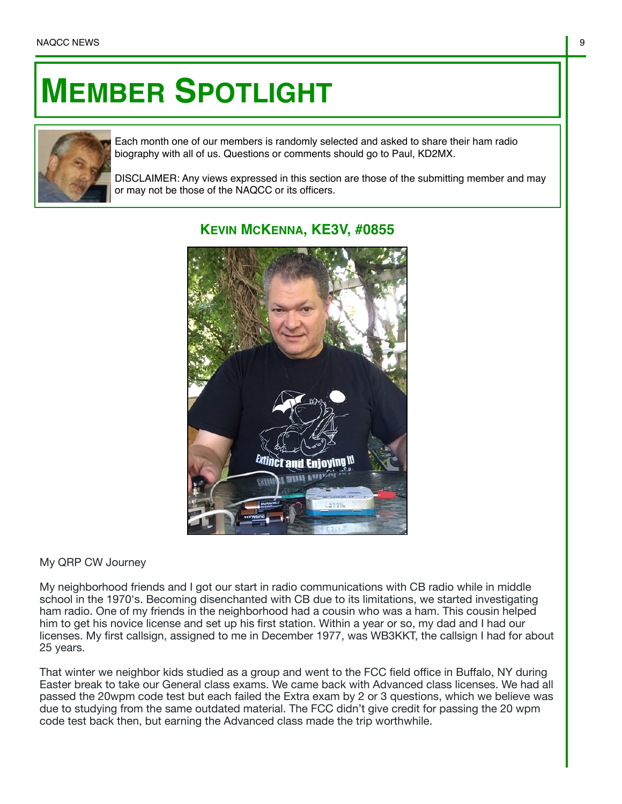## **MEMBER SPOTLIGHT**



Each month one of our members is randomly selected and asked to share their ham radio biography with all of us. Questions or comments should go to Paul, KD2MX.

DISCLAIMER: Any views expressed in this section are those of the submitting member and may or may not be those of the NAQCC or its officers.



## **KEVIN MCKENNA, KE3V, #0855**

## My QRP CW Journey

My neighborhood friends and I got our start in radio communications with CB radio while in middle school in the 1970's. Becoming disenchanted with CB due to its limitations, we started investigating ham radio. One of my friends in the neighborhood had a cousin who was a ham. This cousin helped him to get his novice license and set up his first station. Within a year or so, my dad and I had our licenses. My first callsign, assigned to me in December 1977, was WB3KKT, the callsign I had for about 25 years.

That winter we neighbor kids studied as a group and went to the FCC field office in Buffalo, NY during Easter break to take our General class exams. We came back with Advanced class licenses. We had all passed the 20wpm code test but each failed the Extra exam by 2 or 3 questions, which we believe was due to studying from the same outdated material. The FCC didn't give credit for passing the 20 wpm code test back then, but earning the Advanced class made the trip worthwhile.